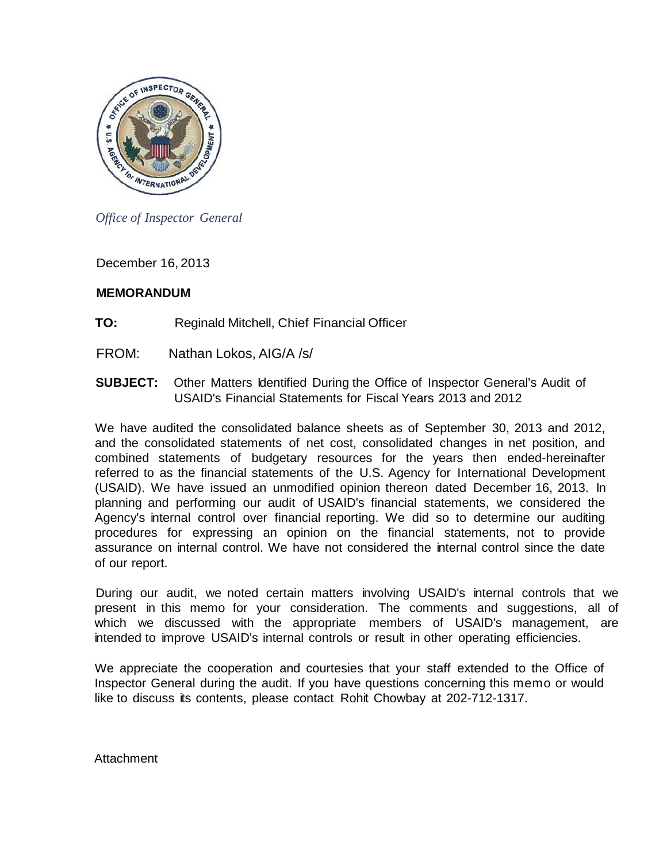

*Office of Inspector General*

December 16, 2013

# **MEMORANDUM**

- **TO:** Reginald Mitchell, Chief Financial Officer
- FROM: Nathan Lokos, AIG/A /s/
- **SUBJECT:** Other Matters Identified During the Office of Inspector General's Audit of USAID's Financial Statements for Fiscal Years 2013 and 2012

We have audited the consolidated balance sheets as of September 30, 2013 and 2012, and the consolidated statements of net cost, consolidated changes in net position, and combined statements of budgetary resources for the years then ended-hereinafter referred to as the financial statements of the U.S. Agency for International Development (USAID). We have issued an unmodified opinion thereon dated December 16, 2013. In planning and performing our audit of USAID's financial statements, we considered the Agency's internal control over financial reporting. We did so to determine our auditing procedures for expressing an opinion on the financial statements, not to provide assurance on internal control. We have not considered the internal control since the date of our report.

During our audit, we noted certain matters involving USAID's internal controls that we present in this memo for your consideration. The comments and suggestions, all of which we discussed with the appropriate members of USAID's management, are intended to improve USAID's internal controls or result in other operating efficiencies.

We appreciate the cooperation and courtesies that your staff extended to the Office of Inspector General during the audit. If you have questions concerning this memo or would like to discuss its contents, please contact Rohit Chowbay at 202-712-1317.

Attachment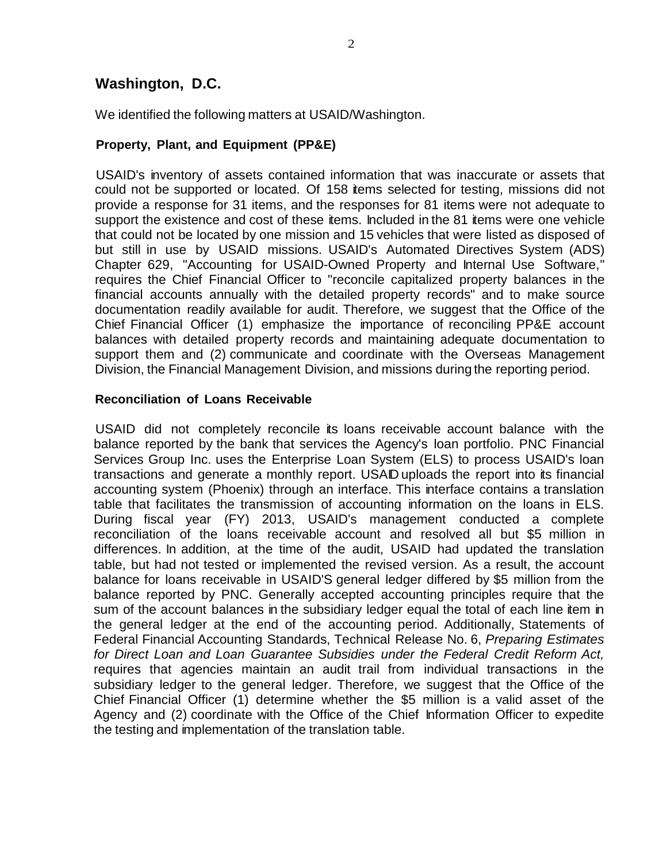# **Washington, D.C.**

We identified the following matters at USAID/Washington.

#### **Property, Plant, and Equipment (PP&E)**

USAID's inventory of assets contained information that was inaccurate or assets that could not be supported or located. Of 158 items selected for testing, missions did not provide a response for 31 items, and the responses for 81 items were not adequate to support the existence and cost of these items. Included in the 81 items were one vehicle that could not be located by one mission and 15 vehicles that were listed as disposed of but still in use by USAID missions. USAID's Automated Directives System (ADS) Chapter 629, "Accounting for USAID-Owned Property and Internal Use Software," requires the Chief Financial Officer to "reconcile capitalized property balances in the financial accounts annually with the detailed property records" and to make source documentation readily available for audit. Therefore, we suggest that the Office of the Chief Financial Officer (1) emphasize the importance of reconciling PP&E account balances with detailed property records and maintaining adequate documentation to support them and (2) communicate and coordinate with the Overseas Management Division, the Financial Management Division, and missions during the reporting period.

#### **Reconciliation of Loans Receivable**

USAID did not completely reconcile its loans receivable account balance with the balance reported by the bank that services the Agency's loan portfolio. PNC Financial Services Group Inc. uses the Enterprise Loan System (ELS) to process USAID's loan transactions and generate a monthly report. USAID uploads the report into its financial accounting system (Phoenix) through an interface. This interface contains a translation table that facilitates the transmission of accounting information on the loans in ELS. During fiscal year (FY) 2013, USAID's management conducted a complete reconciliation of the loans receivable account and resolved all but \$5 million in differences. In addition, at the time of the audit, USAID had updated the translation table, but had not tested or implemented the revised version. As a result, the account balance for loans receivable in USAID'S general ledger differed by \$5 million from the balance reported by PNC. Generally accepted accounting principles require that the sum of the account balances in the subsidiary ledger equal the total of each line item in the general ledger at the end of the accounting period. Additionally, Statements of Federal Financial Accounting Standards, Technical Release No. 6, *Preparing Estimates for Direct Loan and Loan Guarantee Subsidies under the Federal Credit Reform Act,* requires that agencies maintain an audit trail from individual transactions in the subsidiary ledger to the general ledger. Therefore, we suggest that the Office of the Chief Financial Officer (1) determine whether the \$5 million is a valid asset of the Agency and (2) coordinate with the Office of the Chief Information Officer to expedite the testing and implementation of the translation table.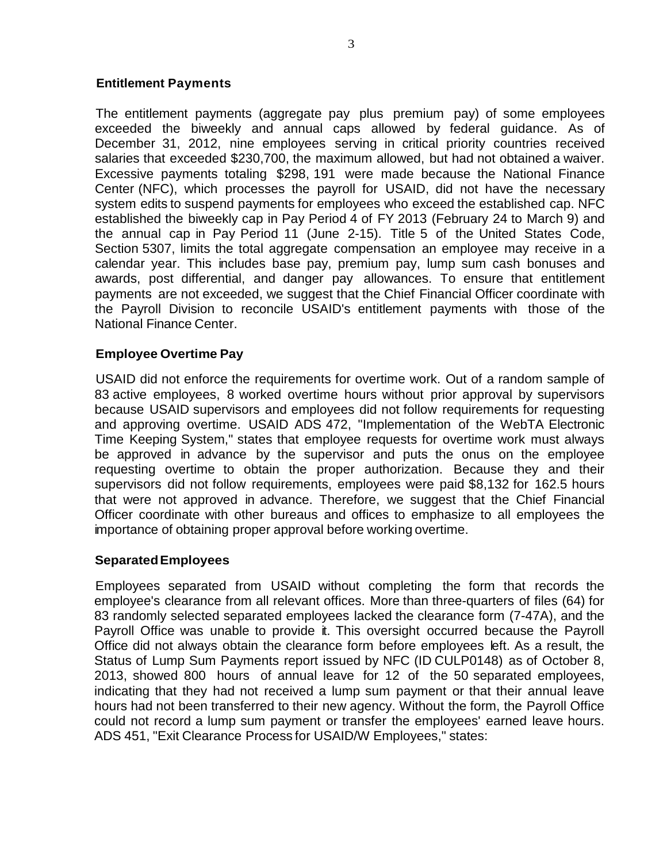### **Entitlement Payments**

The entitlement payments (aggregate pay plus premium pay) of some employees exceeded the biweekly and annual caps allowed by federal guidance. As of December 31, 2012, nine employees serving in critical priority countries received salaries that exceeded \$230,700, the maximum allowed, but had not obtained a waiver. Excessive payments totaling \$298, 191 were made because the National Finance Center (NFC), which processes the payroll for USAID, did not have the necessary system edits to suspend payments for employees who exceed the established cap. NFC established the biweekly cap in Pay Period 4 of FY 2013 (February 24 to March 9) and the annual cap in Pay Period 11 (June 2-15). Title 5 of the United States Code, Section 5307, limits the total aggregate compensation an employee may receive in a calendar year. This includes base pay, premium pay, lump sum cash bonuses and awards, post differential, and danger pay allowances. To ensure that entitlement payments are not exceeded, we suggest that the Chief Financial Officer coordinate with the Payroll Division to reconcile USAID's entitlement payments with those of the National Finance Center.

# **Employee Overtime Pay**

USAID did not enforce the requirements for overtime work. Out of a random sample of 83 active employees, 8 worked overtime hours without prior approval by supervisors because USAID supervisors and employees did not follow requirements for requesting and approving overtime. USAID ADS 472, "Implementation of the WebTA Electronic Time Keeping System," states that employee requests for overtime work must always be approved in advance by the supervisor and puts the onus on the employee requesting overtime to obtain the proper authorization. Because they and their supervisors did not follow requirements, employees were paid \$8,132 for 162.5 hours that were not approved in advance. Therefore, we suggest that the Chief Financial Officer coordinate with other bureaus and offices to emphasize to all employees the importance of obtaining proper approval before working overtime.

#### **SeparatedEmployees**

Employees separated from USAID without completing the form that records the employee's clearance from all relevant offices. More than three-quarters of files (64) for 83 randomly selected separated employees lacked the clearance form (7-47A), and the Payroll Office was unable to provide it. This oversight occurred because the Payroll Office did not always obtain the clearance form before employees left. As a result, the Status of Lump Sum Payments report issued by NFC (ID CULP0148) as of October 8, 2013, showed 800 hours of annual leave for 12 of the 50 separated employees, indicating that they had not received a lump sum payment or that their annual leave hours had not been transferred to their new agency. Without the form, the Payroll Office could not record a lump sum payment or transfer the employees' earned leave hours. ADS 451, "Exit Clearance Process for USAID/W Employees," states: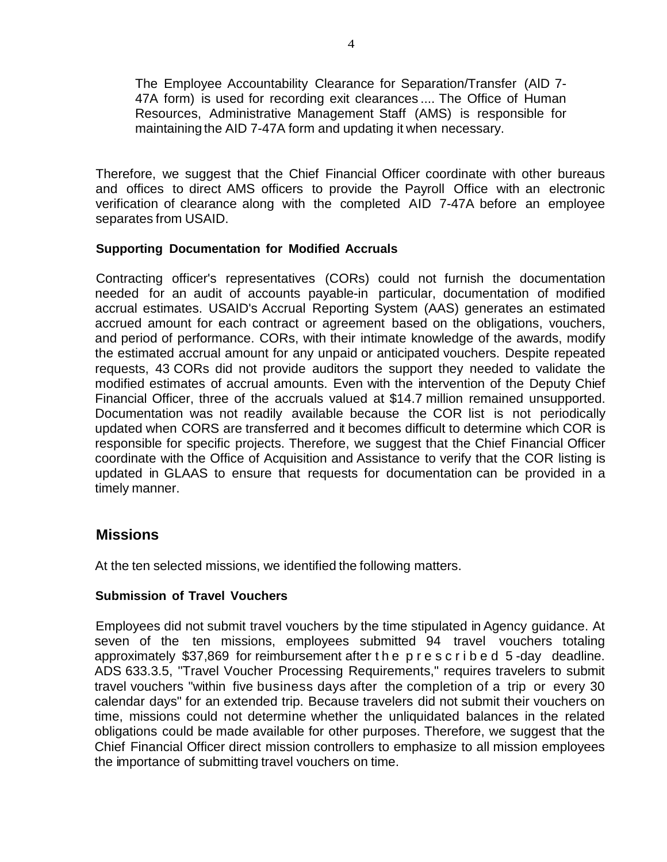The Employee Accountability Clearance for Separation/Transfer (AlD 7- 47A form) is used for recording exit clearances .... The Office of Human Resources, Administrative Management Staff (AMS) is responsible for maintaining the AID 7-47A form and updating it when necessary.

Therefore, we suggest that the Chief Financial Officer coordinate with other bureaus and offices to direct AMS officers to provide the Payroll Office with an electronic verification of clearance along with the completed AID 7-47A before an employee separates from USAID.

# **Supporting Documentation for Modified Accruals**

Contracting officer's representatives (CORs) could not furnish the documentation needed for an audit of accounts payable-in particular, documentation of modified accrual estimates. USAID's Accrual Reporting System (AAS) generates an estimated accrued amount for each contract or agreement based on the obligations, vouchers, and period of performance. CORs, with their intimate knowledge of the awards, modify the estimated accrual amount for any unpaid or anticipated vouchers. Despite repeated requests, 43 CORs did not provide auditors the support they needed to validate the modified estimates of accrual amounts. Even with the intervention of the Deputy Chief Financial Officer, three of the accruals valued at \$14.7 million remained unsupported. Documentation was not readily available because the COR list is not periodically updated when CORS are transferred and it becomes difficult to determine which COR is responsible for specific projects. Therefore, we suggest that the Chief Financial Officer coordinate with the Office of Acquisition and Assistance to verify that the COR listing is updated in GLAAS to ensure that requests for documentation can be provided in a timely manner.

# **Missions**

At the ten selected missions, we identified the following matters.

#### **Submission of Travel Vouchers**

Employees did not submit travel vouchers by the time stipulated in Agency guidance. At seven of the ten missions, employees submitted 94 travel vouchers totaling approximately \$37,869 for reimbursement after the prescribed 5 -day deadline. ADS 633.3.5, ''Travel Voucher Processing Requirements," requires travelers to submit travel vouchers "within five business days after the completion of a trip or every 30 calendar days" for an extended trip. Because travelers did not submit their vouchers on time, missions could not determine whether the unliquidated balances in the related obligations could be made available for other purposes. Therefore, we suggest that the Chief Financial Officer direct mission controllers to emphasize to all mission employees the importance of submitting travel vouchers on time.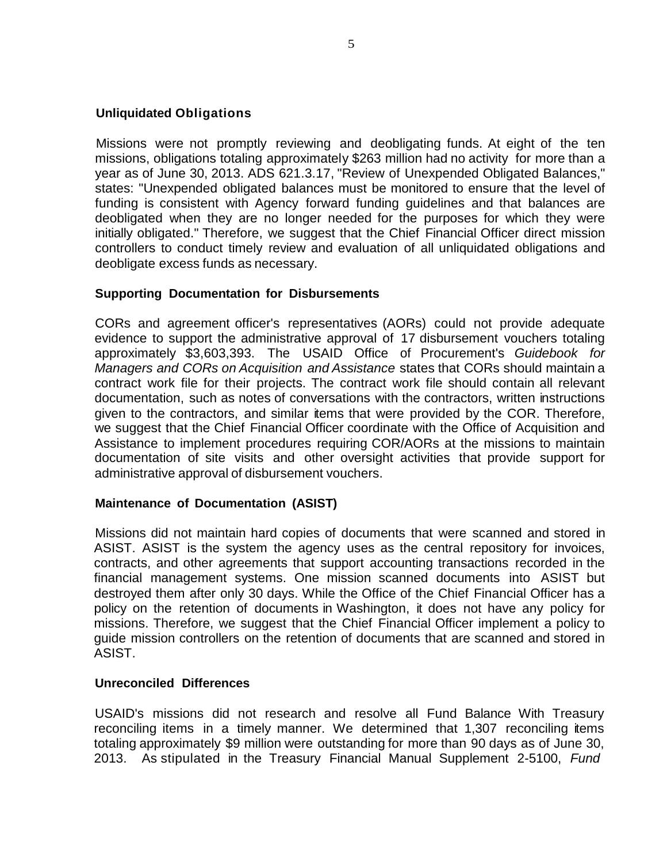### **Unliquidated Obligations**

Missions were not promptly reviewing and deobligating funds. At eight of the ten missions, obligations totaling approximately \$263 million had no activity for more than a year as of June 30, 2013. ADS 621.3.17, "Review of Unexpended Obligated Balances," states: "Unexpended obligated balances must be monitored to ensure that the level of funding is consistent with Agency forward funding guidelines and that balances are deobligated when they are no longer needed for the purposes for which they were initially obligated." Therefore, we suggest that the Chief Financial Officer direct mission controllers to conduct timely review and evaluation of all unliquidated obligations and deobligate excess funds as necessary.

### **Supporting Documentation for Disbursements**

CORs and agreement officer's representatives (AORs) could not provide adequate evidence to support the administrative approval of 17 disbursement vouchers totaling approximately \$3,603,393. The USAID Office of Procurement's *Guidebook for Managers and CORs on Acquisition and Assistance* states that CORs should maintain a contract work file for their projects. The contract work file should contain all relevant documentation, such as notes of conversations with the contractors, written instructions given to the contractors, and similar items that were provided by the COR. Therefore, we suggest that the Chief Financial Officer coordinate with the Office of Acquisition and Assistance to implement procedures requiring COR/AORs at the missions to maintain documentation of site visits and other oversight activities that provide support for administrative approval of disbursement vouchers.

#### **Maintenance of Documentation (ASIST)**

Missions did not maintain hard copies of documents that were scanned and stored in ASIST. ASIST is the system the agency uses as the central repository for invoices, contracts, and other agreements that support accounting transactions recorded in the financial management systems. One mission scanned documents into ASIST but destroyed them after only 30 days. While the Office of the Chief Financial Officer has a policy on the retention of documents in Washington, it does not have any policy for missions. Therefore, we suggest that the Chief Financial Officer implement a policy to guide mission controllers on the retention of documents that are scanned and stored in ASIST.

#### **Unreconciled Differences**

USAID's missions did not research and resolve all Fund Balance With Treasury reconciling items in a timely manner. We determined that 1,307 reconciling items totaling approximately \$9 million were outstanding for more than 90 days as of June 30, 2013. As stipulated in the Treasury Financial Manual Supplement 2-5100, *Fund*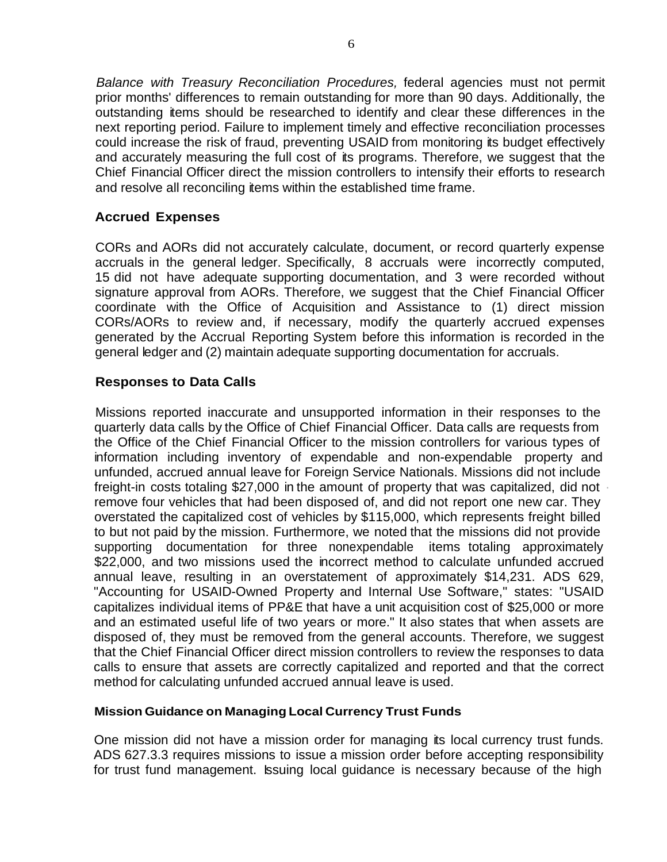*Balance with Treasury Reconciliation Procedures,* federal agencies must not permit prior months' differences to remain outstanding for more than 90 days. Additionally, the outstanding items should be researched to identify and clear these differences in the next reporting period. Failure to implement timely and effective reconciliation processes could increase the risk of fraud, preventing USAID from monitoring its budget effectively and accurately measuring the full cost of its programs. Therefore, we suggest that the Chief Financial Officer direct the mission controllers to intensify their efforts to research and resolve all reconciling items within the established time frame.

# **Accrued Expenses**

CORs and AORs did not accurately calculate, document, or record quarterly expense accruals in the general ledger. Specifically, 8 accruals were incorrectly computed, 15 did not have adequate supporting documentation, and 3 were recorded without signature approval from AORs. Therefore, we suggest that the Chief Financial Officer coordinate with the Office of Acquisition and Assistance to (1) direct mission CORs/AORs to review and, if necessary, modify the quarterly accrued expenses generated by the Accrual Reporting System before this information is recorded in the general ledger and (2) maintain adequate supporting documentation for accruals.

# **Responses to Data Calls**

Missions reported inaccurate and unsupported information in their responses to the quarterly data calls by the Office of Chief Financial Officer. Data calls are requests from the Office of the Chief Financial Officer to the mission controllers for various types of information including inventory of expendable and non-expendable property and unfunded, accrued annual leave for Foreign Service Nationals. Missions did not include freight-in costs totaling \$27,000 in the amount of property that was capitalized, did not remove four vehicles that had been disposed of, and did not report one new car. They overstated the capitalized cost of vehicles by \$115,000, which represents freight billed to but not paid by the mission. Furthermore, we noted that the missions did not provide supporting documentation for three nonexpendable items totaling approximately \$22,000, and two missions used the incorrect method to calculate unfunded accrued annual leave, resulting in an overstatement of approximately \$14,231. ADS 629, "Accounting for USAID-Owned Property and Internal Use Software," states: "USAID capitalizes individual items of PP&E that have a unit acquisition cost of \$25,000 or more and an estimated useful life of two years or more." It also states that when assets are disposed of, they must be removed from the general accounts. Therefore, we suggest that the Chief Financial Officer direct mission controllers to review the responses to data calls to ensure that assets are correctly capitalized and reported and that the correct method for calculating unfunded accrued annual leave is used.

# **Mission Guidance on Managing Local Currency Trust Funds**

One mission did not have a mission order for managing its local currency trust funds. ADS 627.3.3 requires missions to issue a mission order before accepting responsibility for trust fund management. Issuing local guidance is necessary because of the high